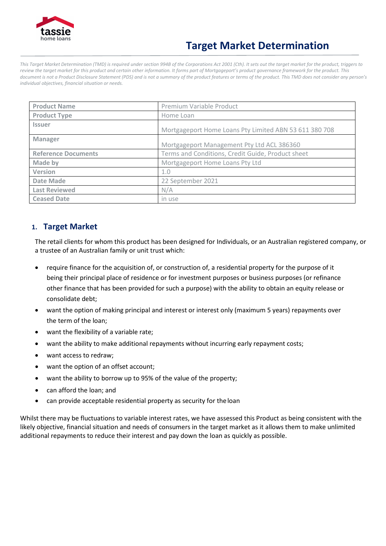

# **Target Market Determination**

*This Target Market Determination (TMD) is required under section 994B of the Corporations Act 2001 (Cth). It sets out the target market for the product, triggers to*  review the target market for this product and certain other information. It forms part of Mortgageport's product governance framework for the product. This *document is not a Product Disclosure Statement (PDS) and is not a summary of the product features or terms of the product. This TMD does not consider any person's individual objectives, financial situation or needs.*

| <b>Product Name</b>        | Premium Variable Product                               |
|----------------------------|--------------------------------------------------------|
| <b>Product Type</b>        | Home Loan                                              |
| <b>Issuer</b>              | Mortgageport Home Loans Pty Limited ABN 53 611 380 708 |
| <b>Manager</b>             | Mortgageport Management Pty Ltd ACL 386360             |
| <b>Reference Documents</b> | Terms and Conditions, Credit Guide, Product sheet      |
| Made by                    | Mortgageport Home Loans Pty Ltd                        |
| Version                    | 1.0                                                    |
| Date Made                  | 22 September 2021                                      |
| <b>Last Reviewed</b>       | N/A                                                    |
| <b>Ceased Date</b>         | in use                                                 |

#### **1. Target Market**

The retail clients for whom this product has been designed for Individuals, or an Australian registered company, or a trustee of an Australian family or unit trust which:

- require finance for the acquisition of, or construction of, a residential property for the purpose of it being their principal place of residence or for investment purposes or business purposes (or refinance other finance that has been provided for such a purpose) with the ability to obtain an equity release or consolidate debt;
- want the option of making principal and interest or interest only (maximum 5 years) repayments over the term of the loan;
- want the flexibility of a variable rate;
- want the ability to make additional repayments without incurring early repayment costs;
- want access to redraw;
- want the option of an offset account;
- want the ability to borrow up to 95% of the value of the property;
- can afford the loan; and
- can provide acceptable residential property as security for theloan

Whilst there may be fluctuations to variable interest rates, we have assessed this Product as being consistent with the likely objective, financial situation and needs of consumers in the target market as it allows them to make unlimited additional repayments to reduce their interest and pay down the loan as quickly as possible.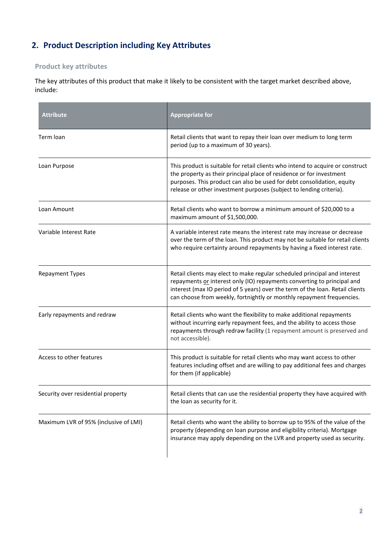## **2. Product Description including Key Attributes**

### **Product key attributes**

The key attributes of this product that make it likely to be consistent with the target market described above, include:

| <b>Attribute</b>                      | <b>Appropriate for</b>                                                                                                                                                                                                                                                                                         |  |
|---------------------------------------|----------------------------------------------------------------------------------------------------------------------------------------------------------------------------------------------------------------------------------------------------------------------------------------------------------------|--|
| Term loan                             | Retail clients that want to repay their loan over medium to long term<br>period (up to a maximum of 30 years).                                                                                                                                                                                                 |  |
| Loan Purpose                          | This product is suitable for retail clients who intend to acquire or construct<br>the property as their principal place of residence or for investment<br>purposes. This product can also be used for debt consolidation, equity<br>release or other investment purposes (subject to lending criteria).        |  |
| Loan Amount                           | Retail clients who want to borrow a minimum amount of \$20,000 to a<br>maximum amount of \$1,500,000.                                                                                                                                                                                                          |  |
| Variable Interest Rate                | A variable interest rate means the interest rate may increase or decrease<br>over the term of the loan. This product may not be suitable for retail clients<br>who require certainty around repayments by having a fixed interest rate.                                                                        |  |
| <b>Repayment Types</b>                | Retail clients may elect to make regular scheduled principal and interest<br>repayments or interest only (IO) repayments converting to principal and<br>interest (max IO period of 5 years) over the term of the loan. Retail clients<br>can choose from weekly, fortnightly or monthly repayment frequencies. |  |
| Early repayments and redraw           | Retail clients who want the flexibility to make additional repayments<br>without incurring early repayment fees, and the ability to access those<br>repayments through redraw facility (1 repayment amount is preserved and<br>not accessible).                                                                |  |
| Access to other features              | This product is suitable for retail clients who may want access to other<br>features including offset and are willing to pay additional fees and charges<br>for them (if applicable)                                                                                                                           |  |
| Security over residential property    | Retail clients that can use the residential property they have acquired with<br>the loan as security for it.                                                                                                                                                                                                   |  |
| Maximum LVR of 95% (inclusive of LMI) | Retail clients who want the ability to borrow up to 95% of the value of the<br>property (depending on loan purpose and eligibility criteria). Mortgage<br>insurance may apply depending on the LVR and property used as security.                                                                              |  |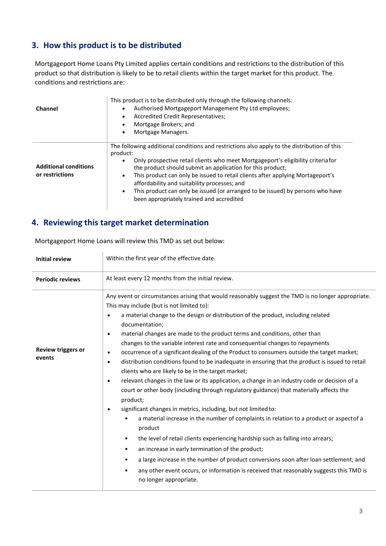#### **3. How this product is to be distributed**

 $\bar{a}$ 

Mortgageport Home Loans Pty Limited applies certain conditions and restrictions to the distribution of this product so that distribution is likely to be to retail clients within the target market for this product. The conditions and restrictions are:

| Channel                                         | This product is to be distributed only through the following channels:<br>Authorised Mortgageport Management Pty Ltd employees;<br>Accredited Credit Representatives;<br>Mortgage Brokers; and<br>Mortgage Managers.                                                                                                                                                                                                                                                                                                           |  |
|-------------------------------------------------|--------------------------------------------------------------------------------------------------------------------------------------------------------------------------------------------------------------------------------------------------------------------------------------------------------------------------------------------------------------------------------------------------------------------------------------------------------------------------------------------------------------------------------|--|
| <b>Additional conditions</b><br>or restrictions | The following additional conditions and restrictions also apply to the distribution of this<br>product:<br>Only prospective retail clients who meet Mortgageport's eligibility criteriafor<br>the product should submit an application for this product;<br>This product can only be issued to retail clients after applying Mortageport's<br>٠<br>affordability and suitability processes; and<br>This product can only be issued (or arranged to be issued) by persons who have<br>been appropriately trained and accredited |  |

#### **4. Reviewing this target market determination**

| Initial review                      | Within the first year of the effective date.                                                                                                                                                                                                                                                                                                                                                                                                                                                                                                                                                                                                                                                                                                                                                                                                                                                                                                                                                                                                                                                                                                                                                                                                                                                                                                                                                                                                                                                                                                                   |  |  |
|-------------------------------------|----------------------------------------------------------------------------------------------------------------------------------------------------------------------------------------------------------------------------------------------------------------------------------------------------------------------------------------------------------------------------------------------------------------------------------------------------------------------------------------------------------------------------------------------------------------------------------------------------------------------------------------------------------------------------------------------------------------------------------------------------------------------------------------------------------------------------------------------------------------------------------------------------------------------------------------------------------------------------------------------------------------------------------------------------------------------------------------------------------------------------------------------------------------------------------------------------------------------------------------------------------------------------------------------------------------------------------------------------------------------------------------------------------------------------------------------------------------------------------------------------------------------------------------------------------------|--|--|
| <b>Periodic reviews</b>             | At least every 12 months from the initial review.                                                                                                                                                                                                                                                                                                                                                                                                                                                                                                                                                                                                                                                                                                                                                                                                                                                                                                                                                                                                                                                                                                                                                                                                                                                                                                                                                                                                                                                                                                              |  |  |
| <b>Review triggers or</b><br>events | Any event or circumstances arising that would reasonably suggest the TMD is no longer appropriate.<br>This may include (but is not limited to):<br>a material change to the design or distribution of the product, including related<br>$\bullet$<br>documentation;<br>material changes are made to the product terms and conditions, other than<br>$\bullet$<br>changes to the variable interest rate and consequential changes to repayments<br>occurrence of a significant dealing of the Product to consumers outside the target market;<br>$\bullet$<br>distribution conditions found to be inadequate in ensuring that the product is issued to retail<br>$\bullet$<br>clients who are likely to be in the target market;<br>relevant changes in the law or its application, a change in an industry code or decision of a<br>$\bullet$<br>court or other body (including through regulatory guidance) that materially affects the<br>product;<br>significant changes in metrics, including, but not limited to:<br>$\bullet$<br>a material increase in the number of complaints in relation to a product or aspectof a<br>$\bullet$<br>product<br>the level of retail clients experiencing hardship such as falling into arrears;<br>$\bullet$<br>an increase in early termination of the product;<br>$\bullet$<br>a large increase in the number of product conversions soon after loan settlement; and<br>$\bullet$<br>any other event occurs, or information is received that reasonably suggests this TMD is<br>$\bullet$<br>no longer appropriate. |  |  |

Mortgageport Home Loans will review this TMD as set out below: